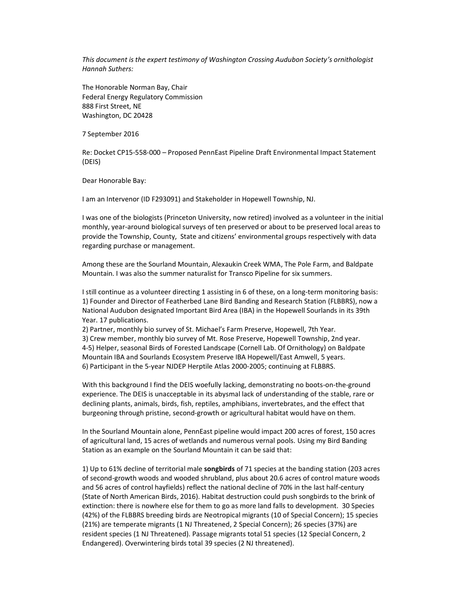*This document is the expert testimony of Washington Crossing Audubon Society's ornithologist Hannah Suthers:*

The Honorable Norman Bay, Chair Federal Energy Regulatory Commission 888 First Street, NE Washington, DC 20428

7 September 2016

Re: Docket CP15-558-000 – Proposed PennEast Pipeline Draft Environmental Impact Statement (DEIS)

Dear Honorable Bay:

I am an Intervenor (ID F293091) and Stakeholder in Hopewell Township, NJ.

I was one of the biologists (Princeton University, now retired) involved as a volunteer in the initial monthly, year-around biological surveys of ten preserved or about to be preserved local areas to provide the Township, County, State and citizens' environmental groups respectively with data regarding purchase or management.

Among these are the Sourland Mountain, Alexaukin Creek WMA, The Pole Farm, and Baldpate Mountain. I was also the summer naturalist for Transco Pipeline for six summers.

I still continue as a volunteer directing 1 assisting in 6 of these, on a long-term monitoring basis: 1) Founder and Director of Featherbed Lane Bird Banding and Research Station (FLBBRS), now a National Audubon designated Important Bird Area (IBA) in the Hopewell Sourlands in its 39th Year. 17 publications.

2) Partner, monthly bio survey of St. Michael's Farm Preserve, Hopewell, 7th Year. 3) Crew member, monthly bio survey of Mt. Rose Preserve, Hopewell Township, 2nd year. 4-5) Helper, seasonal Birds of Forested Landscape (Cornell Lab. Of Ornithology) on Baldpate Mountain IBA and Sourlands Ecosystem Preserve IBA Hopewell/East Amwell, 5 years. 6) Participant in the 5-year NJDEP Herptile Atlas 2000-2005; continuing at FLBBRS.

With this background I find the DEIS woefully lacking, demonstrating no boots-on-the-ground experience. The DEIS is unacceptable in its abysmal lack of understanding of the stable, rare or declining plants, animals, birds, fish, reptiles, amphibians, invertebrates, and the effect that burgeoning through pristine, second-growth or agricultural habitat would have on them.

In the Sourland Mountain alone, PennEast pipeline would impact 200 acres of forest, 150 acres of agricultural land, 15 acres of wetlands and numerous vernal pools. Using my Bird Banding Station as an example on the Sourland Mountain it can be said that:

1) Up to 61% decline of territorial male **songbirds** of 71 species at the banding station (203 acres of second-growth woods and wooded shrubland, plus about 20.6 acres of control mature woods and 56 acres of control hayfields) reflect the national decline of 70% in the last half-century (State of North American Birds, 2016). Habitat destruction could push songbirds to the brink of extinction: there is nowhere else for them to go as more land falls to development. 30 Species (42%) of the FLBBRS breeding birds are Neotropical migrants (10 of Special Concern); 15 species (21%) are temperate migrants (1 NJ Threatened, 2 Special Concern); 26 species (37%) are resident species (1 NJ Threatened). Passage migrants total 51 species (12 Special Concern, 2 Endangered). Overwintering birds total 39 species (2 NJ threatened).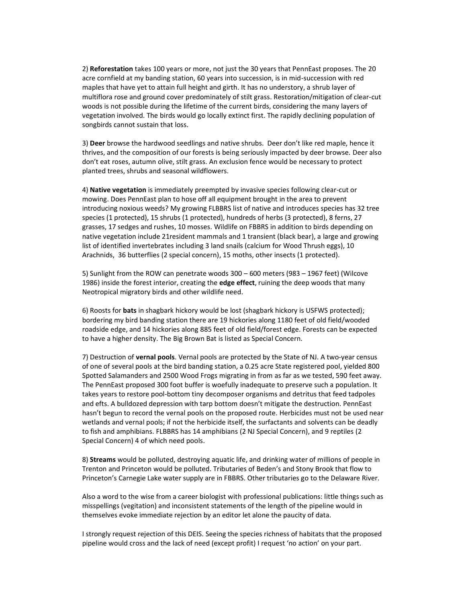2) **Reforestation** takes 100 years or more, not just the 30 years that PennEast proposes. The 20 acre cornfield at my banding station, 60 years into succession, is in mid-succession with red maples that have yet to attain full height and girth. It has no understory, a shrub layer of multiflora rose and ground cover predominately of stilt grass. Restoration/mitigation of clear-cut woods is not possible during the lifetime of the current birds, considering the many layers of vegetation involved. The birds would go locally extinct first. The rapidly declining population of songbirds cannot sustain that loss.

3) **Deer** browse the hardwood seedlings and native shrubs. Deer don't like red maple, hence it thrives, and the composition of our forests is being seriously impacted by deer browse. Deer also don't eat roses, autumn olive, stilt grass. An exclusion fence would be necessary to protect planted trees, shrubs and seasonal wildflowers.

4) **Native vegetation** is immediately preempted by invasive species following clear-cut or mowing. Does PennEast plan to hose off all equipment brought in the area to prevent introducing noxious weeds? My growing FLBBRS list of native and introduces species has 32 tree species (1 protected), 15 shrubs (1 protected), hundreds of herbs (3 protected), 8 ferns, 27 grasses, 17 sedges and rushes, 10 mosses. Wildlife on FBBRS in addition to birds depending on native vegetation include 21resident mammals and 1 transient (black bear), a large and growing list of identified invertebrates including 3 land snails (calcium for Wood Thrush eggs), 10 Arachnids, 36 butterflies (2 special concern), 15 moths, other insects (1 protected).

5) Sunlight from the ROW can penetrate woods 300 – 600 meters (983 – 1967 feet) (Wilcove 1986) inside the forest interior, creating the **edge effect**, ruining the deep woods that many Neotropical migratory birds and other wildlife need.

6) Roosts for **bats** in shagbark hickory would be lost (shagbark hickory is USFWS protected); bordering my bird banding station there are 19 hickories along 1180 feet of old field/wooded roadside edge, and 14 hickories along 885 feet of old field/forest edge. Forests can be expected to have a higher density. The Big Brown Bat is listed as Special Concern.

7) Destruction of **vernal pools**. Vernal pools are protected by the State of NJ. A two-year census of one of several pools at the bird banding station, a 0.25 acre State registered pool, yielded 800 Spotted Salamanders and 2500 Wood Frogs migrating in from as far as we tested, 590 feet away. The PennEast proposed 300 foot buffer is woefully inadequate to preserve such a population. It takes years to restore pool-bottom tiny decomposer organisms and detritus that feed tadpoles and efts. A bulldozed depression with tarp bottom doesn't mitigate the destruction. PennEast hasn't begun to record the vernal pools on the proposed route. Herbicides must not be used near wetlands and vernal pools; if not the herbicide itself, the surfactants and solvents can be deadly to fish and amphibians. FLBBRS has 14 amphibians (2 NJ Special Concern), and 9 reptiles (2 Special Concern) 4 of which need pools.

8) **Streams** would be polluted, destroying aquatic life, and drinking water of millions of people in Trenton and Princeton would be polluted. Tributaries of Beden's and Stony Brook that flow to Princeton's Carnegie Lake water supply are in FBBRS. Other tributaries go to the Delaware River.

Also a word to the wise from a career biologist with professional publications: little things such as misspellings (vegitation) and inconsistent statements of the length of the pipeline would in themselves evoke immediate rejection by an editor let alone the paucity of data.

I strongly request rejection of this DEIS. Seeing the species richness of habitats that the proposed pipeline would cross and the lack of need (except profit) I request 'no action' on your part.